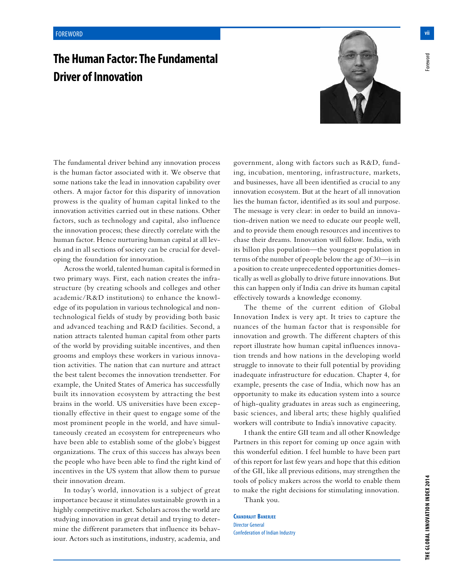## **The Human Factor: The Fundamental Driver of Innovation**



The fundamental driver behind any innovation process is the human factor associated with it. We observe that some nations take the lead in innovation capability over others. A major factor for this disparity of innovation prowess is the quality of human capital linked to the innovation activities carried out in these nations. Other factors, such as technology and capital, also influence the innovation process; these directly correlate with the human factor. Hence nurturing human capital at all levels and in all sections of society can be crucial for developing the foundation for innovation.

Across the world, talented human capital is formed in two primary ways. First, each nation creates the infrastructure (by creating schools and colleges and other academic/R&D institutions) to enhance the knowledge of its population in various technological and nontechnological fields of study by providing both basic and advanced teaching and R&D facilities. Second, a nation attracts talented human capital from other parts of the world by providing suitable incentives, and then grooms and employs these workers in various innovation activities. The nation that can nurture and attract the best talent becomes the innovation trendsetter. For example, the United States of America has successfully built its innovation ecosystem by attracting the best brains in the world. US universities have been exceptionally effective in their quest to engage some of the most prominent people in the world, and have simultaneously created an ecosystem for entrepreneurs who have been able to establish some of the globe's biggest organizations. The crux of this success has always been the people who have been able to find the right kind of incentives in the US system that allow them to pursue their innovation dream.

In today's world, innovation is a subject of great importance because it stimulates sustainable growth in a highly competitive market. Scholars across the world are studying innovation in great detail and trying to determine the different parameters that influence its behaviour. Actors such as institutions, industry, academia, and government, along with factors such as R&D, funding, incubation, mentoring, infrastructure, markets, and businesses, have all been identified as crucial to any innovation ecosystem. But at the heart of all innovation lies the human factor, identified as its soul and purpose. The message is very clear: in order to build an innovation-driven nation we need to educate our people well, and to provide them enough resources and incentives to chase their dreams. Innovation will follow. India, with its billon plus population—the youngest population in terms of the number of people below the age of 30—is in a position to create unprecedented opportunities domestically as well as globally to drive future innovations. But this can happen only if India can drive its human capital effectively towards a knowledge economy.

The theme of the current edition of Global Innovation Index is very apt. It tries to capture the nuances of the human factor that is responsible for innovation and growth. The different chapters of this report illustrate how human capital influences innovation trends and how nations in the developing world struggle to innovate to their full potential by providing inadequate infrastructure for education. Chapter 4, for example, presents the case of India, which now has an opportunity to make its education system into a source of high-quality graduates in areas such as engineering, basic sciences, and liberal arts; these highly qualified workers will contribute to India's innovative capacity.

I thank the entire GII team and all other Knowledge Partners in this report for coming up once again with this wonderful edition. I feel humble to have been part of this report for last few years and hope that this edition of the GII, like all previous editions, may strengthen the tools of policy makers across the world to enable them to make the right decisions for stimulating innovation.

Thank you.

**Chandrajit Banerjee** Director General Confederation of Indian Industry -oreword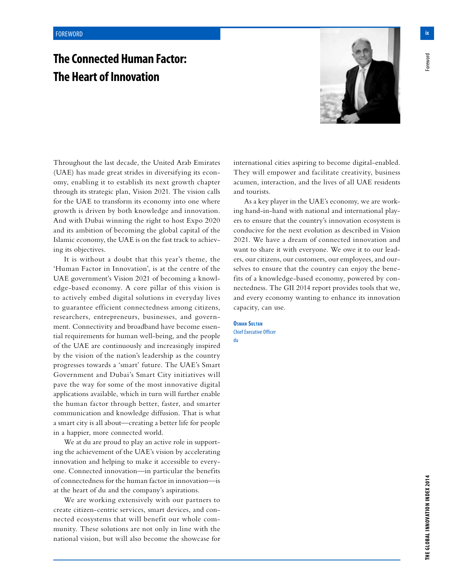## **The Connected Human Factor: The Heart of Innovation**



Throughout the last decade, the United Arab Emirates (UAE) has made great strides in diversifying its economy, enabling it to establish its next growth chapter through its strategic plan, Vision 2021. The vision calls for the UAE to transform its economy into one where growth is driven by both knowledge and innovation. And with Dubai winning the right to host Expo 2020 and its ambition of becoming the global capital of the Islamic economy, the UAE is on the fast track to achieving its objectives.

It is without a doubt that this year's theme, the 'Human Factor in Innovation', is at the centre of the UAE government's Vision 2021 of becoming a knowledge-based economy. A core pillar of this vision is to actively embed digital solutions in everyday lives to guarantee efficient connectedness among citizens, researchers, entrepreneurs, businesses, and government. Connectivity and broadband have become essential requirements for human well-being, and the people of the UAE are continuously and increasingly inspired by the vision of the nation's leadership as the country progresses towards a 'smart' future. The UAE's Smart Government and Dubai's Smart City initiatives will pave the way for some of the most innovative digital applications available, which in turn will further enable the human factor through better, faster, and smarter communication and knowledge diffusion. That is what a smart city is all about—creating a better life for people in a happier, more connected world.

We at du are proud to play an active role in supporting the achievement of the UAE's vision by accelerating innovation and helping to make it accessible to everyone. Connected innovation—in particular the benefits of connectedness for the human factor in innovation—is at the heart of du and the company's aspirations.

We are working extensively with our partners to create citizen-centric services, smart devices, and connected ecosystems that will benefit our whole community. These solutions are not only in line with the national vision, but will also become the showcase for international cities aspiring to become digital-enabled. They will empower and facilitate creativity, business acumen, interaction, and the lives of all UAE residents and tourists.

As a key player in the UAE's economy, we are working hand-in-hand with national and international players to ensure that the country's innovation ecosystem is conducive for the next evolution as described in Vision 2021. We have a dream of connected innovation and want to share it with everyone. We owe it to our leaders, our citizens, our customers, our employees, and ourselves to ensure that the country can enjoy the benefits of a knowledge-based economy, powered by connectedness. The GII 2014 report provides tools that we, and every economy wanting to enhance its innovation capacity, can use.

**Osman Sultan** Chief Executive Officer du

oreword